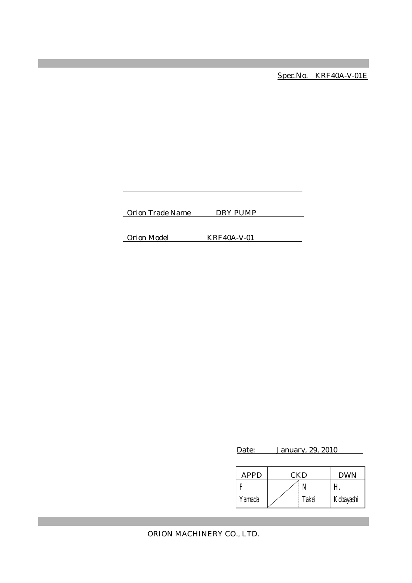Spec.No. KRF40A-V-01E

Orion Trade Name DRY PUMP

Orion Model KRF40A-V-01

Date: January, 29, 2010

| <b>APPD</b> | CKD |       | <b>DWN</b> |
|-------------|-----|-------|------------|
|             |     |       |            |
| Yamada      |     | Takei | Kobayashi  |

ORION MACHINERY CO., LTD.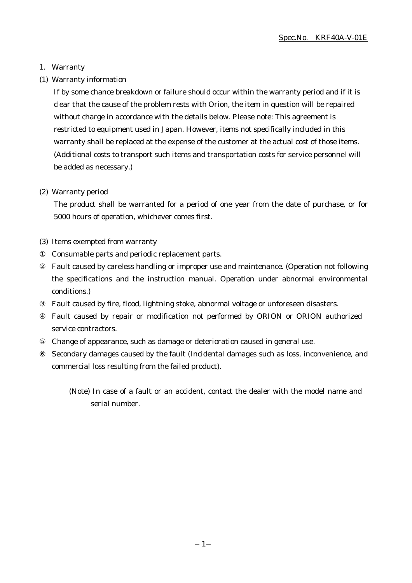### 1. Warranty

(1) Warranty information

If by some chance breakdown or failure should occur within the warranty period and if it is clear that the cause of the problem rests with Orion, the item in question will be repaired without charge in accordance with the details below. Please note: This agreement is restricted to equipment used in Japan. However, items not specifically included in this warranty shall be replaced at the expense of the customer at the actual cost of those items. (Additional costs to transport such items and transportation costs for service personnel will be added as necessary.)

### (2) Warranty period

The product shall be warranted for a period of one year from the date of purchase, or for 5000 hours of operation, whichever comes first.

(3) Items exempted from warranty

Consumable parts and periodic replacement parts.

Fault caused by careless handling or improper use and maintenance. (Operation not following the specifications and the instruction manual. Operation under abnormal environmental conditions.)

Fault caused by fire, flood, lightning stoke, abnormal voltage or unforeseen disasters. Fault caused by repair or modification not performed by ORION or ORION authorized service contractors.

⑤ Change of appearance, such as damage or deterioration caused in general use.

Secondary damages caused by the fault (Incidental damages such as loss, inconvenience, and commercial loss resulting from the failed product).

<sup>(</sup>Note) In case of a fault or an accident, contact the dealer with the model name and serial number.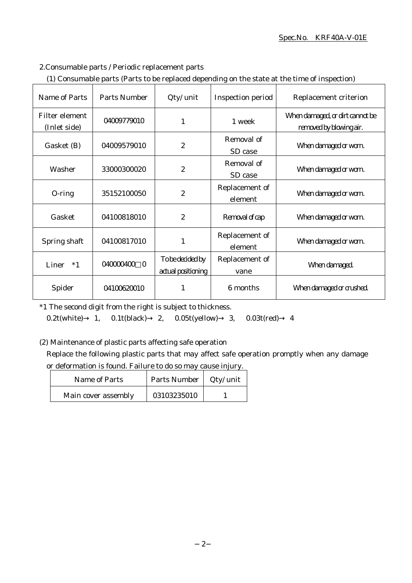### Spec.No. KRF40A-V-01E

### 2.Consumable parts / Periodic replacement parts

|  | (1) Consumable parts (Parts to be replaced depending on the state at the time of inspection) |
|--|----------------------------------------------------------------------------------------------|
|  |                                                                                              |

| Name of Parts                  | Parts Number          | Qty/ unit                              | Inspection period         | Replacement criterion                                      |
|--------------------------------|-----------------------|----------------------------------------|---------------------------|------------------------------------------------------------|
| Filter element<br>(Inlet side) | 04009779010           | 1                                      | 1 week                    | When damaged, or dirt cannot be<br>removed by blowing air. |
| Gasket (B)                     | 04009579010           | $\boldsymbol{2}$                       | Removal of<br>SD case     | When damaged or worn.                                      |
| Washer                         | 33000300020           | $\boldsymbol{2}$                       | Removal of<br>SD case     | When damaged or worn.                                      |
| $O$ -ring                      | 35152100050           | $\boldsymbol{2}$                       | Replacement of<br>element | When damaged or worn.                                      |
| Gasket                         | 04100818010           | $\boldsymbol{2}$                       | Removal of cap            | When damaged or worn.                                      |
| Spring shaft                   | 04100817010           | 1                                      | Replacement of<br>element | When damaged or worn.                                      |
| Liner<br>$*1$                  | 040000400<br>$\Omega$ | To be decided by<br>actual positioning | Replacement of<br>vane    | When damaged.                                              |
| Spider                         | 04100620010           |                                        | 6 months                  | When damaged or crushed.                                   |

\*1 The second digit from the right is subject to thickness.

0.2t(white) 1, 0.1t(black) 2, 0.05t(yellow) 3, 0.03t(red) 4

### (2) Maintenance of plastic parts affecting safe operation

Replace the following plastic parts that may affect safe operation promptly when any damage or deformation is found. Failure to do so may cause injury.

| Name of Parts       | Parts Number   Qty/ unit |  |
|---------------------|--------------------------|--|
| Main cover assembly | 03103235010              |  |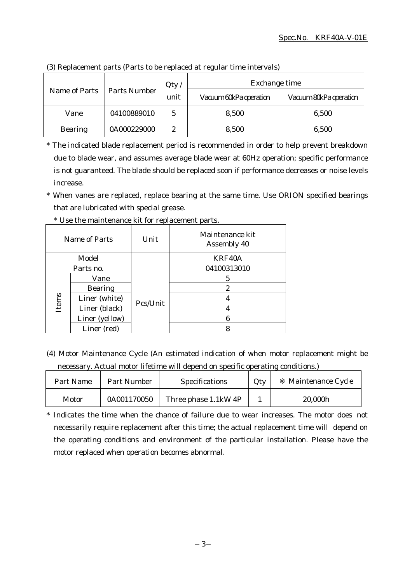|                | <b>Parts Number</b><br>Name of Parts | Qty  | Exchange time          |                        |  |
|----------------|--------------------------------------|------|------------------------|------------------------|--|
|                |                                      | unit | Vacuum 60kPa operation | Vacuum 80kPa operation |  |
| Vane           | 04100889010                          | 5    | 8,500                  | 6,500                  |  |
| <b>Bearing</b> | 0A000229000                          | 2    | 8,500                  | 6,500                  |  |

(3) Replacement parts (Parts to be replaced at regular time intervals)

\* The indicated blade replacement period is recommended in order to help prevent breakdown due to blade wear, and assumes average blade wear at 60Hz operation; specific performance is not guaranteed. The blade should be replaced soon if performance decreases or noise levels increase.

\* When vanes are replaced, replace bearing at the same time. Use ORION specified bearings that are lubricated with special grease.

|       | Name of Parts  | Unit     | Maintenance kit<br>Assembly 40 |
|-------|----------------|----------|--------------------------------|
|       | Model          |          | KRF40A                         |
|       | Parts no.      |          | 04100313010                    |
|       | Vane           |          | 5                              |
|       | <b>Bearing</b> |          | 2                              |
| Items | Liner (white)  | Pcs/Unit |                                |
|       | Liner (black)  |          |                                |
|       | Liner (yellow) |          | 6                              |
|       | Liner (red)    |          |                                |

\* Use the maintenance kit for replacement parts.

(4) Motor Maintenance Cycle (An estimated indication of when motor replacement might be necessary. Actual motor lifetime will depend on specific operating conditions.)

| Part Name | Part Number | <b>Specifications</b> | Qty | Maintenance Cycle |
|-----------|-------------|-----------------------|-----|-------------------|
| Motor     | 0A001170050 | Three phase 1.1kW 4P  |     | 20,000h           |

\* Indicates the time when the chance of failure due to wear increases. The motor does not necessarily require replacement after this time; the actual replacement time will depend on the operating conditions and environment of the particular installation. Please have the motor replaced when operation becomes abnormal.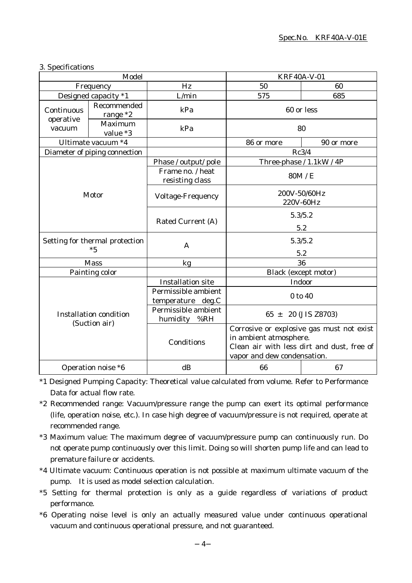| 3. Specifications |
|-------------------|
|-------------------|

| Model                                          |                               |                                          | <b>KRF40A-V-01</b>                                                                                                                               |                           |
|------------------------------------------------|-------------------------------|------------------------------------------|--------------------------------------------------------------------------------------------------------------------------------------------------|---------------------------|
|                                                | Frequency                     | Hz                                       | 50                                                                                                                                               | 60                        |
|                                                | Designed capacity *1          | L/min                                    | 575                                                                                                                                              | 685                       |
| Continuous                                     | Recommended<br>range $*2$     | kPa                                      |                                                                                                                                                  | 60 or less                |
| operative<br>vacuum                            | Maximum<br>value *3           | kPa                                      |                                                                                                                                                  | 80                        |
|                                                | Ultimate vacuum *4            |                                          | 86 or more                                                                                                                                       | 90 or more                |
|                                                | Diameter of piping connection |                                          |                                                                                                                                                  | Rc3/4                     |
|                                                |                               | Phase / output/ pole                     |                                                                                                                                                  | Three-phase / 1.1kW / 4P  |
|                                                |                               | Frame no. / heat<br>resisting class      |                                                                                                                                                  | 80M / E                   |
| Motor                                          |                               | <b>Voltage-Frequency</b>                 |                                                                                                                                                  | 200V-50/60Hz<br>220V-60Hz |
|                                                |                               | Rated Current (A)                        |                                                                                                                                                  | 5.3/5.2<br>5.2            |
| Setting for thermal protection<br>$*5$         |                               | $\mathsf{A}$                             |                                                                                                                                                  | 5.3/5.2<br>5.2            |
| <b>Mass</b>                                    |                               | kg                                       | 36                                                                                                                                               |                           |
|                                                | Painting color                |                                          |                                                                                                                                                  | Black (except motor)      |
|                                                |                               | <b>Installation site</b>                 |                                                                                                                                                  | Indoor                    |
| <b>Installation condition</b><br>(Suction air) |                               | Permissible ambient<br>temperature deg.C | 0 to 40                                                                                                                                          |                           |
|                                                |                               | Permissible ambient<br>humidity<br>%RH   | $65 \pm 20$ (JIS Z8703)                                                                                                                          |                           |
|                                                |                               | Conditions                               | Corrosive or explosive gas must not exist<br>in ambient atmosphere.<br>Clean air with less dirt and dust, free of<br>vapor and dew condensation. |                           |
|                                                | Operation noise *6            | dB                                       | 66                                                                                                                                               | 67                        |

\*1 Designed Pumping Capacity: Theoretical value calculated from volume. Refer to Performance Data for actual flow rate.

- \*2 Recommended range: Vacuum/pressure range the pump can exert its optimal performance (life, operation noise, etc.). In case high degree of vacuum/pressure is not required, operate at recommended range.
- \*3 Maximum value: The maximum degree of vacuum/pressure pump can continuously run. Do not operate pump continuously over this limit. Doing so will shorten pump life and can lead to premature failure or accidents.
- \*4 Ultimate vacuum: Continuous operation is not possible at maximum ultimate vacuum of the pump. It is used as model selection calculation.
- \*5 Setting for thermal protection is only as a guide regardless of variations of product performance.
- \*6 Operating noise level is only an actually measured value under continuous operational vacuum and continuous operational pressure, and not guaranteed.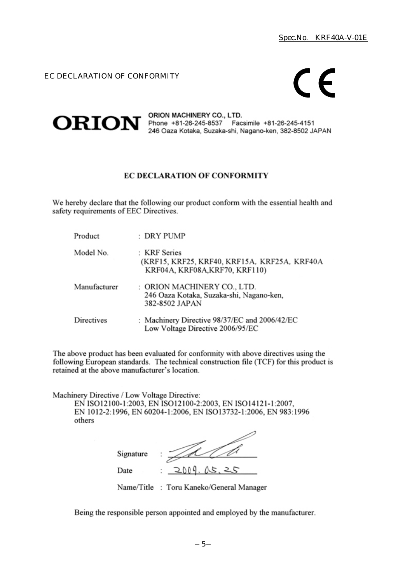EC DECLARATION OF CONFORMITY

# $\epsilon$



**ORION** SALE SALE SALES THE PHONE HALL SALES THE PHONE +81-26-245-8537 Facsimile +81-26-245-4151 246 Oaza Kotaka, Suzaka-shi, Nagano-ken, 382-8502 JAPAN

### **EC DECLARATION OF CONFORMITY**

We hereby declare that the following our product conform with the essential health and safety requirements of EEC Directives.

| Product      | : DRY PUMP                                                                                     |
|--------------|------------------------------------------------------------------------------------------------|
| Model No.    | : KRF Series<br>(KRF15, KRF25, KRF40, KRF15A, KRF25A, KRF40A<br>KRF04A, KRF08A, KRF70, KRF110) |
| Manufacturer | : ORION MACHINERY CO., LTD.<br>246 Oaza Kotaka, Suzaka-shi, Nagano-ken,<br>382-8502 JAPAN      |
| Directives   | : Machinery Directive 98/37/EC and 2006/42/EC<br>Low Voltage Directive 2006/95/EC              |

The above product has been evaluated for conformity with above directives using the following European standards. The technical construction file (TCF) for this product is retained at the above manufacturer's location.

Machinery Directive / Low Voltage Directive:

EN ISO12100-1:2003, EN ISO12100-2:2003, EN ISO14121-1:2007, EN 1012-2:1996, EN 60204-1:2006, EN ISO13732-1:2006, EN 983:1996 others

| Signature |                  |
|-----------|------------------|
| Date      | 2009.05, 25<br>٠ |

Name/Title: Toru Kaneko/General Manager

Being the responsible person appointed and employed by the manufacturer.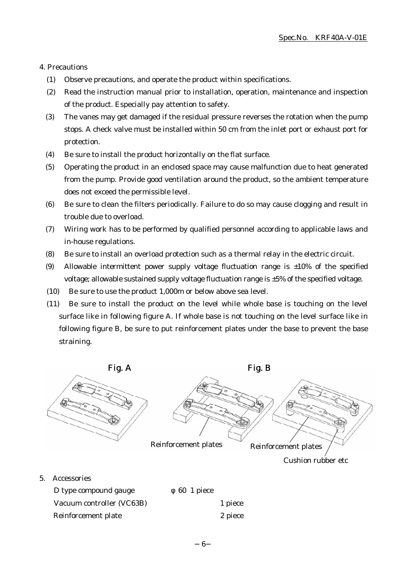#### 4. Precautions

- (1) Observe precautions, and operate the product within specifications.
- (2) Read the instruction manual prior to installation, operation, maintenance and inspection of the product. Especially pay attention to safety.
- (3) The vanes may get damaged if the residual pressure reverses the rotation when the pump stops. A check valve must be installed within 50 cm from the inlet port or exhaust port for protection.
- (4) Be sure to install the product horizontally on the flat surface.
- (5) Operating the product in an enclosed space may cause malfunction due to heat generated from the pump. Provide good ventilation around the product, so the ambient temperature does not exceed the permissible level.
- (6) Be sure to clean the filters periodically. Failure to do so may cause clogging and result in trouble due to overload.
- (7) Wiring work has to be performed by qualified personnel according to applicable laws and in-house regulations.
- (8) Be sure to install an overload protection such as a thermal relay in the electric circuit.
- (9) Allowable intermittent power supply voltage fluctuation range is  $\pm 10\%$  of the specified voltage; allowable sustained supply voltage fluctuation range is ±5% of the specified voltage.
- (10) Be sure to use the product 1,000m or below above sea level.
- (11) Be sure to install the product on the level while whole base is touching on the level surface like in following figure A. If whole base is not touching on the level surface like in following figure B, be sure to put reinforcement plates under the base to prevent the base straining.



Reinforcement plate 2 piece

6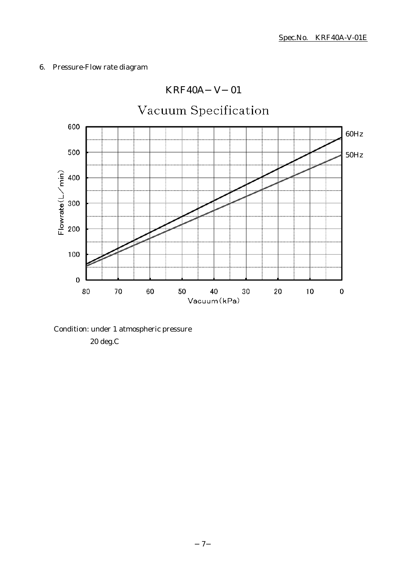### 6. Pressure-Flow rate diagram



## KRF40A V 01

Condition: under 1 atmospheric pressure 20 deg.C